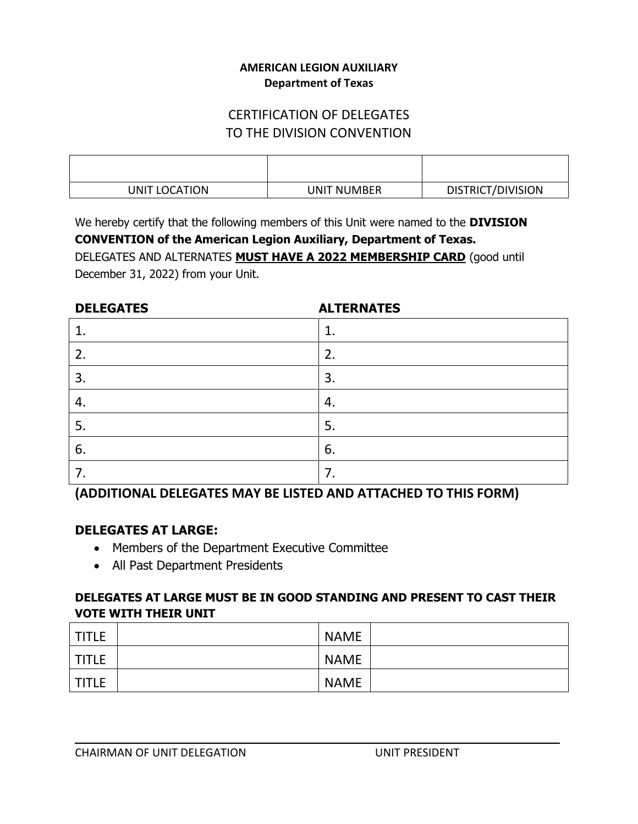#### **AMERICAN LEGION AUXILIARY Department of Texas**

# CERTIFICATION OF DELEGATES TO THE DIVISION CONVENTION

| UNIT LOCATION | <b>UNIT NUMBER</b> | <b>DISTRICT/DIVISION</b> |
|---------------|--------------------|--------------------------|

We hereby certify that the following members of this Unit were named to the **DIVISION**

**CONVENTION of the American Legion Auxiliary, Department of Texas.** DELEGATES AND ALTERNATES **MUST HAVE A 2022 MEMBERSHIP CARD** (good until December 31, 2022) from your Unit.

| <b>DELEGATES</b> | <b>ALTERNATES</b> |
|------------------|-------------------|
| 1                |                   |
| 2.               | 2.                |
| 3.               | 3.                |
| $\overline{4}$   | 4.                |
| 5.               | 5.                |
| 6.               | 6.                |
| 7.               | ⇁                 |

**(ADDITIONAL DELEGATES MAY BE LISTED AND ATTACHED TO THIS FORM)**

## **DELEGATES AT LARGE:**

- Members of the Department Executive Committee
- All Past Department Presidents

## **DELEGATES AT LARGE MUST BE IN GOOD STANDING AND PRESENT TO CAST THEIR VOTE WITH THEIR UNIT**

| <b>TITLE</b> | <b>NAME</b> |  |
|--------------|-------------|--|
| <b>TITLE</b> | <b>NAME</b> |  |
| <b>TITLE</b> | <b>NAME</b> |  |

**\_\_\_\_\_\_\_\_\_\_\_\_\_\_\_\_\_\_\_\_\_\_\_\_\_\_\_\_\_\_\_\_\_\_\_\_\_\_\_\_\_\_\_\_\_\_\_\_\_\_\_\_\_\_\_\_\_\_\_\_\_\_\_\_\_\_\_\_\_\_\_\_\_\_\_\_\_\_\_\_\_\_\_\_\_**